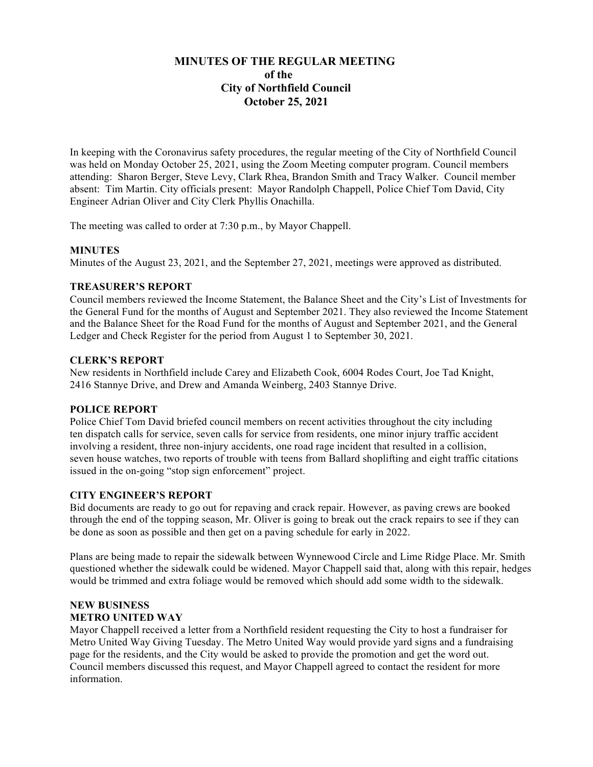# **MINUTES OF THE REGULAR MEETING of the City of Northfield Council October 25, 2021**

In keeping with the Coronavirus safety procedures, the regular meeting of the City of Northfield Council was held on Monday October 25, 2021, using the Zoom Meeting computer program. Council members attending: Sharon Berger, Steve Levy, Clark Rhea, Brandon Smith and Tracy Walker. Council member absent: Tim Martin. City officials present: Mayor Randolph Chappell, Police Chief Tom David, City Engineer Adrian Oliver and City Clerk Phyllis Onachilla.

The meeting was called to order at 7:30 p.m., by Mayor Chappell.

# **MINUTES**

Minutes of the August 23, 2021, and the September 27, 2021, meetings were approved as distributed.

# **TREASURER'S REPORT**

Council members reviewed the Income Statement, the Balance Sheet and the City's List of Investments for the General Fund for the months of August and September 2021. They also reviewed the Income Statement and the Balance Sheet for the Road Fund for the months of August and September 2021, and the General Ledger and Check Register for the period from August 1 to September 30, 2021.

#### **CLERK'S REPORT**

New residents in Northfield include Carey and Elizabeth Cook, 6004 Rodes Court, Joe Tad Knight, 2416 Stannye Drive, and Drew and Amanda Weinberg, 2403 Stannye Drive.

#### **POLICE REPORT**

Police Chief Tom David briefed council members on recent activities throughout the city including ten dispatch calls for service, seven calls for service from residents, one minor injury traffic accident involving a resident, three non-injury accidents, one road rage incident that resulted in a collision, seven house watches, two reports of trouble with teens from Ballard shoplifting and eight traffic citations issued in the on-going "stop sign enforcement" project.

#### **CITY ENGINEER'S REPORT**

Bid documents are ready to go out for repaving and crack repair. However, as paving crews are booked through the end of the topping season, Mr. Oliver is going to break out the crack repairs to see if they can be done as soon as possible and then get on a paving schedule for early in 2022.

Plans are being made to repair the sidewalk between Wynnewood Circle and Lime Ridge Place. Mr. Smith questioned whether the sidewalk could be widened. Mayor Chappell said that, along with this repair, hedges would be trimmed and extra foliage would be removed which should add some width to the sidewalk.

# **NEW BUSINESS METRO UNITED WAY**

Mayor Chappell received a letter from a Northfield resident requesting the City to host a fundraiser for Metro United Way Giving Tuesday. The Metro United Way would provide yard signs and a fundraising page for the residents, and the City would be asked to provide the promotion and get the word out. Council members discussed this request, and Mayor Chappell agreed to contact the resident for more information.